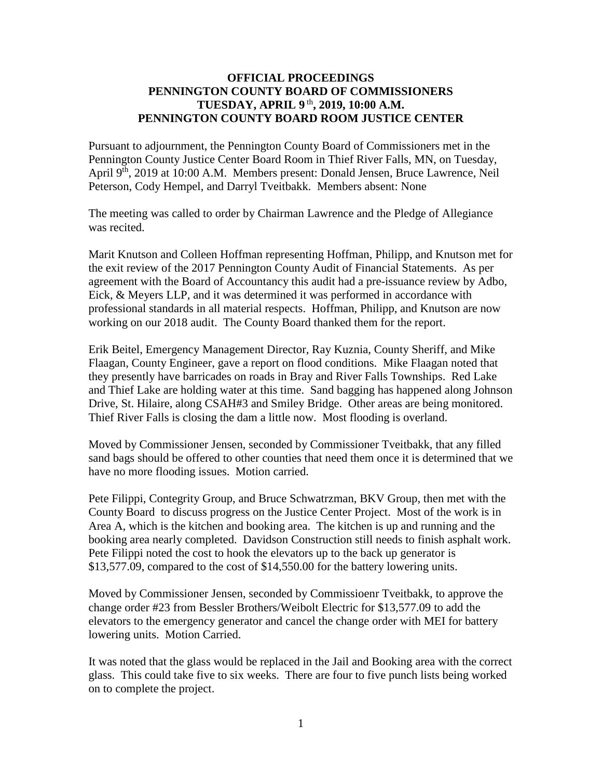## **OFFICIAL PROCEEDINGS PENNINGTON COUNTY BOARD OF COMMISSIONERS TUESDAY, APRIL 9** th **, 2019, 10:00 A.M. PENNINGTON COUNTY BOARD ROOM JUSTICE CENTER**

Pursuant to adjournment, the Pennington County Board of Commissioners met in the Pennington County Justice Center Board Room in Thief River Falls, MN, on Tuesday, April 9<sup>th</sup>, 2019 at 10:00 A.M. Members present: Donald Jensen, Bruce Lawrence, Neil Peterson, Cody Hempel, and Darryl Tveitbakk. Members absent: None

The meeting was called to order by Chairman Lawrence and the Pledge of Allegiance was recited.

Marit Knutson and Colleen Hoffman representing Hoffman, Philipp, and Knutson met for the exit review of the 2017 Pennington County Audit of Financial Statements. As per agreement with the Board of Accountancy this audit had a pre-issuance review by Adbo, Eick, & Meyers LLP, and it was determined it was performed in accordance with professional standards in all material respects. Hoffman, Philipp, and Knutson are now working on our 2018 audit. The County Board thanked them for the report.

Erik Beitel, Emergency Management Director, Ray Kuznia, County Sheriff, and Mike Flaagan, County Engineer, gave a report on flood conditions. Mike Flaagan noted that they presently have barricades on roads in Bray and River Falls Townships. Red Lake and Thief Lake are holding water at this time. Sand bagging has happened along Johnson Drive, St. Hilaire, along CSAH#3 and Smiley Bridge. Other areas are being monitored. Thief River Falls is closing the dam a little now. Most flooding is overland.

Moved by Commissioner Jensen, seconded by Commissioner Tveitbakk, that any filled sand bags should be offered to other counties that need them once it is determined that we have no more flooding issues. Motion carried.

Pete Filippi, Contegrity Group, and Bruce Schwatrzman, BKV Group, then met with the County Board to discuss progress on the Justice Center Project. Most of the work is in Area A, which is the kitchen and booking area. The kitchen is up and running and the booking area nearly completed. Davidson Construction still needs to finish asphalt work. Pete Filippi noted the cost to hook the elevators up to the back up generator is \$13,577.09, compared to the cost of \$14,550.00 for the battery lowering units.

Moved by Commissioner Jensen, seconded by Commissioenr Tveitbakk, to approve the change order #23 from Bessler Brothers/Weibolt Electric for \$13,577.09 to add the elevators to the emergency generator and cancel the change order with MEI for battery lowering units. Motion Carried.

It was noted that the glass would be replaced in the Jail and Booking area with the correct glass. This could take five to six weeks. There are four to five punch lists being worked on to complete the project.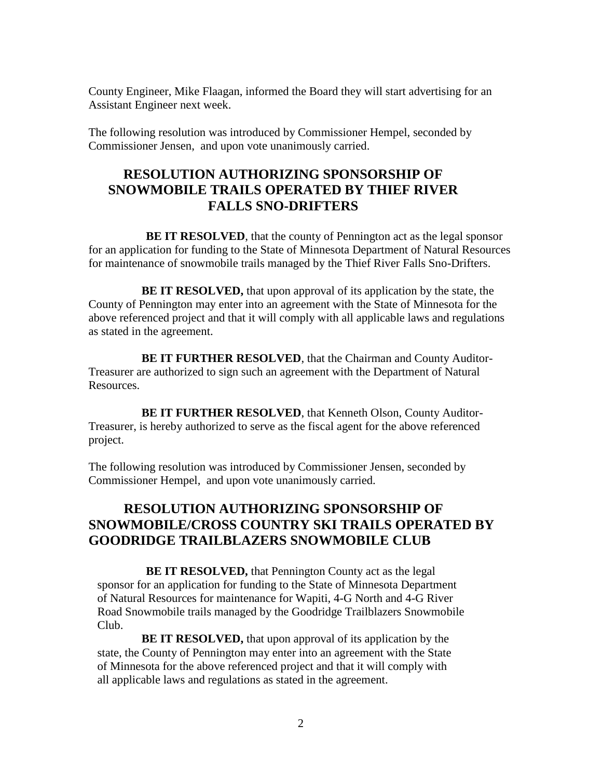County Engineer, Mike Flaagan, informed the Board they will start advertising for an Assistant Engineer next week.

The following resolution was introduced by Commissioner Hempel, seconded by Commissioner Jensen, and upon vote unanimously carried.

## **RESOLUTION AUTHORIZING SPONSORSHIP OF SNOWMOBILE TRAILS OPERATED BY THIEF RIVER FALLS SNO-DRIFTERS**

**BE IT RESOLVED**, that the county of Pennington act as the legal sponsor for an application for funding to the State of Minnesota Department of Natural Resources for maintenance of snowmobile trails managed by the Thief River Falls Sno-Drifters.

**BE IT RESOLVED,** that upon approval of its application by the state, the County of Pennington may enter into an agreement with the State of Minnesota for the above referenced project and that it will comply with all applicable laws and regulations as stated in the agreement.

**BE IT FURTHER RESOLVED**, that the Chairman and County Auditor-Treasurer are authorized to sign such an agreement with the Department of Natural Resources.

**BE IT FURTHER RESOLVED**, that Kenneth Olson, County Auditor-Treasurer, is hereby authorized to serve as the fiscal agent for the above referenced project.

The following resolution was introduced by Commissioner Jensen, seconded by Commissioner Hempel, and upon vote unanimously carried.

## **RESOLUTION AUTHORIZING SPONSORSHIP OF SNOWMOBILE/CROSS COUNTRY SKI TRAILS OPERATED BY GOODRIDGE TRAILBLAZERS SNOWMOBILE CLUB**

**BE IT RESOLVED, that Pennington County act as the legal** sponsor for an application for funding to the State of Minnesota Department of Natural Resources for maintenance for Wapiti, 4-G North and 4-G River Road Snowmobile trails managed by the Goodridge Trailblazers Snowmobile Club.

**BE IT RESOLVED,** that upon approval of its application by the state, the County of Pennington may enter into an agreement with the State of Minnesota for the above referenced project and that it will comply with all applicable laws and regulations as stated in the agreement.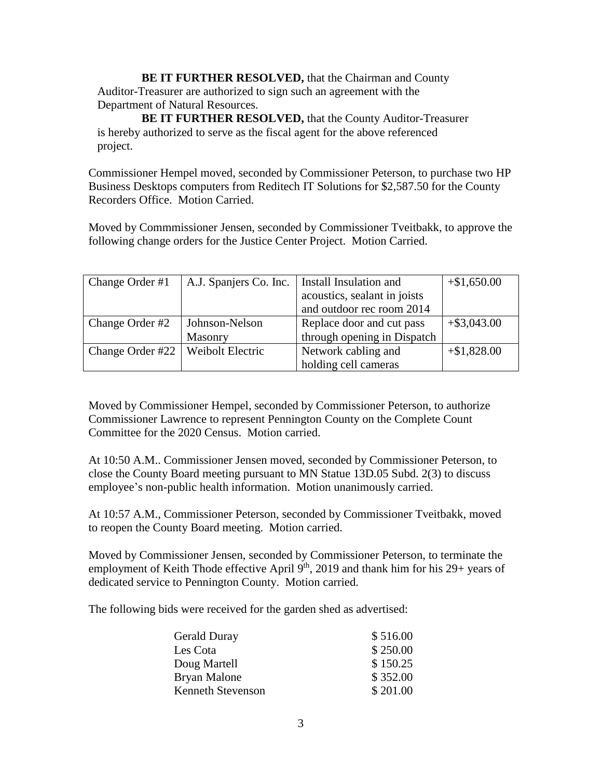**BE IT FURTHER RESOLVED, that the Chairman and County** Auditor-Treasurer are authorized to sign such an agreement with the Department of Natural Resources.

**BE IT FURTHER RESOLVED,** that the County Auditor-Treasurer is hereby authorized to serve as the fiscal agent for the above referenced project.

Commissioner Hempel moved, seconded by Commissioner Peterson, to purchase two HP Business Desktops computers from Reditech IT Solutions for \$2,587.50 for the County Recorders Office. Motion Carried.

Moved by Commmissioner Jensen, seconded by Commissioner Tveitbakk, to approve the following change orders for the Justice Center Project. Motion Carried.

| Change Order #1                     | A.J. Spanjers Co. Inc. | Install Insulation and       | $+\$1,650.00$  |
|-------------------------------------|------------------------|------------------------------|----------------|
|                                     |                        | acoustics, sealant in joists |                |
|                                     |                        | and outdoor rec room 2014    |                |
| Change Order #2                     | Johnson-Nelson         | Replace door and cut pass    | $+$ \$3,043.00 |
|                                     | Masonry                | through opening in Dispatch  |                |
| Change Order #22   Weibolt Electric |                        | Network cabling and          | $+\$1,828.00$  |
|                                     |                        | holding cell cameras         |                |

Moved by Commissioner Hempel, seconded by Commissioner Peterson, to authorize Commissioner Lawrence to represent Pennington County on the Complete Count Committee for the 2020 Census. Motion carried.

At 10:50 A.M.. Commissioner Jensen moved, seconded by Commissioner Peterson, to close the County Board meeting pursuant to MN Statue 13D.05 Subd. 2(3) to discuss employee's non-public health information. Motion unanimously carried.

At 10:57 A.M., Commissioner Peterson, seconded by Commissioner Tveitbakk, moved to reopen the County Board meeting. Motion carried.

Moved by Commissioner Jensen, seconded by Commissioner Peterson, to terminate the employment of Keith Thode effective April 9<sup>th</sup>, 2019 and thank him for his 29+ years of dedicated service to Pennington County. Motion carried.

The following bids were received for the garden shed as advertised:

| <b>Gerald Duray</b>      | \$516.00 |
|--------------------------|----------|
| Les Cota                 | \$250.00 |
| Doug Martell             | \$150.25 |
| Bryan Malone             | \$352.00 |
| <b>Kenneth Stevenson</b> | \$201.00 |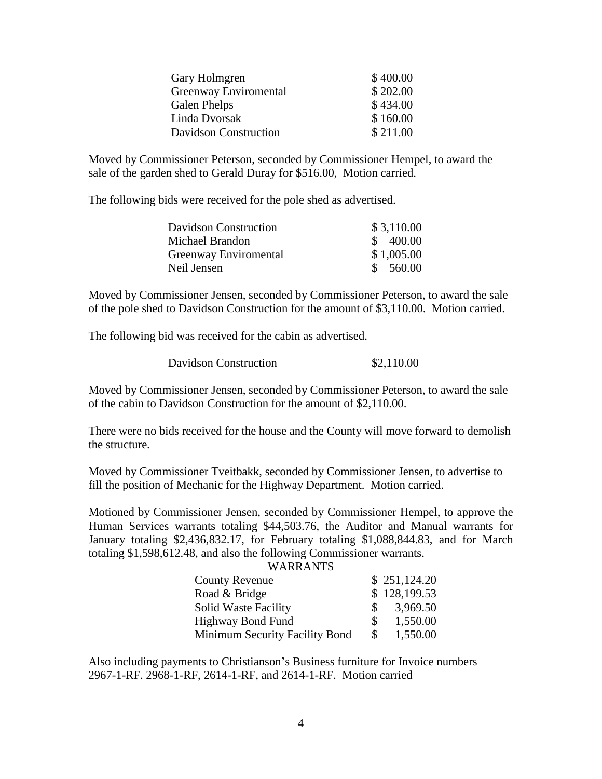| Gary Holmgren         | \$400.00 |
|-----------------------|----------|
| Greenway Enviromental | \$202.00 |
| Galen Phelps          | \$434.00 |
| Linda Dvorsak         | \$160.00 |
| Davidson Construction | \$211.00 |

Moved by Commissioner Peterson, seconded by Commissioner Hempel, to award the sale of the garden shed to Gerald Duray for \$516.00, Motion carried.

The following bids were received for the pole shed as advertised.

| Davidson Construction | \$3,110.00              |
|-----------------------|-------------------------|
| Michael Brandon       | \$ 400.00               |
| Greenway Enviromental | \$1,005.00              |
| Neil Jensen           | 560.00<br>$\mathcal{S}$ |

Moved by Commissioner Jensen, seconded by Commissioner Peterson, to award the sale of the pole shed to Davidson Construction for the amount of \$3,110.00. Motion carried.

The following bid was received for the cabin as advertised.

| Davidson Construction | \$2,110.00 |
|-----------------------|------------|
|-----------------------|------------|

Moved by Commissioner Jensen, seconded by Commissioner Peterson, to award the sale of the cabin to Davidson Construction for the amount of \$2,110.00.

There were no bids received for the house and the County will move forward to demolish the structure.

Moved by Commissioner Tveitbakk, seconded by Commissioner Jensen, to advertise to fill the position of Mechanic for the Highway Department. Motion carried.

Motioned by Commissioner Jensen, seconded by Commissioner Hempel, to approve the Human Services warrants totaling \$44,503.76, the Auditor and Manual warrants for January totaling \$2,436,832.17, for February totaling \$1,088,844.83, and for March totaling \$1,598,612.48, and also the following Commissioner warrants.

| <b>WARRANTS</b> |
|-----------------|
|-----------------|

| <b>County Revenue</b>          |               | \$251,124.20 |
|--------------------------------|---------------|--------------|
| Road & Bridge                  |               | \$128,199.53 |
| Solid Waste Facility           | SS.           | 3,969.50     |
| <b>Highway Bond Fund</b>       | SS.           | 1,550.00     |
| Minimum Security Facility Bond | <sup>\$</sup> | 1,550.00     |

Also including payments to Christianson's Business furniture for Invoice numbers 2967-1-RF. 2968-1-RF, 2614-1-RF, and 2614-1-RF. Motion carried